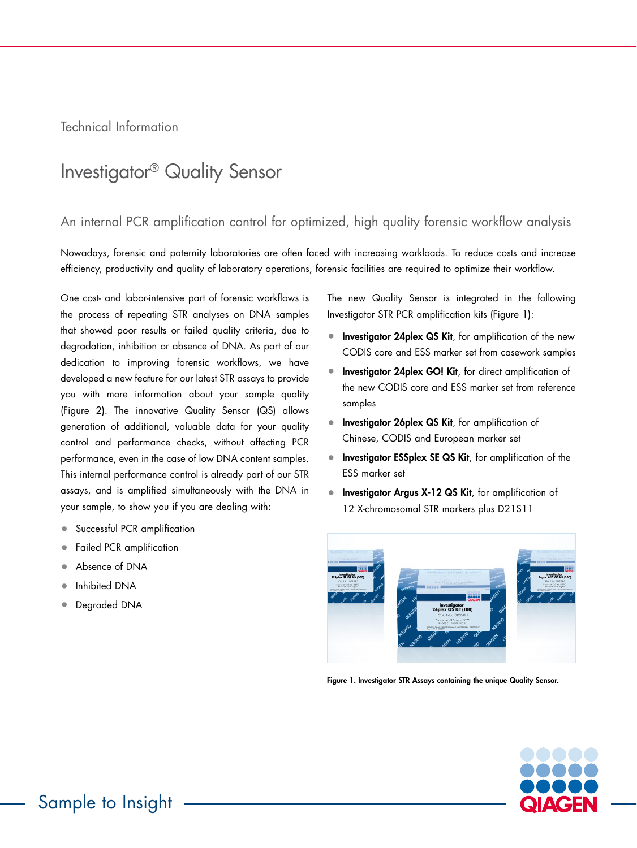Technical Information

# Investigator® Quality Sensor

## An internal PCR amplification control for optimized, high quality forensic workflow analysis

Nowadays, forensic and paternity laboratories are often faced with increasing workloads. To reduce costs and increase efficiency, productivity and quality of laboratory operations, forensic facilities are required to optimize their workflow.

One cost- and labor-intensive part of forensic workflows is the process of repeating STR analyses on DNA samples that showed poor results or failed quality criteria, due to degradation, inhibition or absence of DNA. As part of our dedication to improving forensic workflows, we have developed a new feature for our latest STR assays to provide you with more information about your sample quality (Figure 2). The innovative Quality Sensor (QS) allows generation of additional, valuable data for your quality control and performance checks, without affecting PCR performance, even in the case of low DNA content samples. This internal performance control is already part of our STR assays, and is amplified simultaneously with the DNA in your sample, to show you if you are dealing with:

- Successful PCR amplification
- Failed PCR amplification
- Absence of DNA
- Inhibited DNA
- Degraded DNA

The new Quality Sensor is integrated in the following Investigator STR PCR amplification kits (Figure 1):

- **Investigator 24plex QS Kit**, for amplification of the new CODIS core and ESS marker set from casework samples
- **Investigator 24plex GO! Kit**, for direct amplification of the new CODIS core and ESS marker set from reference samples
- **Investigator 26plex QS Kit**, for amplification of Chinese, CODIS and European marker set
- **Investigator ESSplex SE QS Kit**, for amplification of the ESS marker set
- **Investigator Argus X-12 QS Kit**, for amplification of 12 X-chromosomal STR markers plus D21S11



Figure 1. Investigator STR Assays containing the unique Quality Sensor.

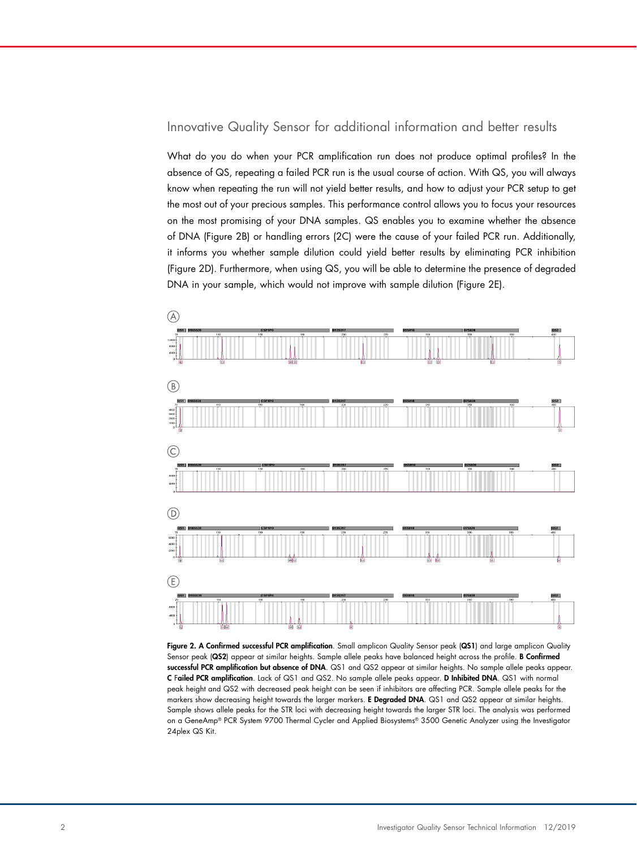#### Innovative Quality Sensor for additional information and better results

What do you do when your PCR amplification run does not produce optimal profiles? In the absence of QS, repeating a failed PCR run is the usual course of action. With QS, you will always know when repeating the run will not yield better results, and how to adjust your PCR setup to get the most out of your precious samples. This performance control allows you to focus your resources on the most promising of your DNA samples. QS enables you to examine whether the absence of DNA (Figure 2B) or handling errors (2C) were the cause of your failed PCR run. Additionally, it informs you whether sample dilution could yield better results by eliminating PCR inhibition (Figure 2D). Furthermore, when using QS, you will be able to determine the presence of degraded DNA in your sample, which would not improve with sample dilution (Figure 2E).



Figure 2. A Confirmed successful PCR amplification. Small amplicon Quality Sensor peak (QS1) and large amplicon Quality Sensor peak (QS2) appear at similar heights. Sample allele peaks have balanced height across the profile. B Confirmed successful PCR amplification but absence of DNA. QS1 and QS2 appear at similar heights. No sample allele peaks appear. C Failed PCR amplification. Lack of QS1 and QS2. No sample allele peaks appear. D Inhibited DNA. QS1 with normal peak height and QS2 with decreased peak height can be seen if inhibitors are affecting PCR. Sample allele peaks for the markers show decreasing height towards the larger markers. E Degraded DNA. QS1 and QS2 appear at similar heights. Sample shows allele peaks for the STR loci with decreasing height towards the larger STR loci. The analysis was performed on a GeneAmp® PCR System 9700 Thermal Cycler and Applied Biosystems® 3500 Genetic Analyzer using the Investigator 24plex QS Kit.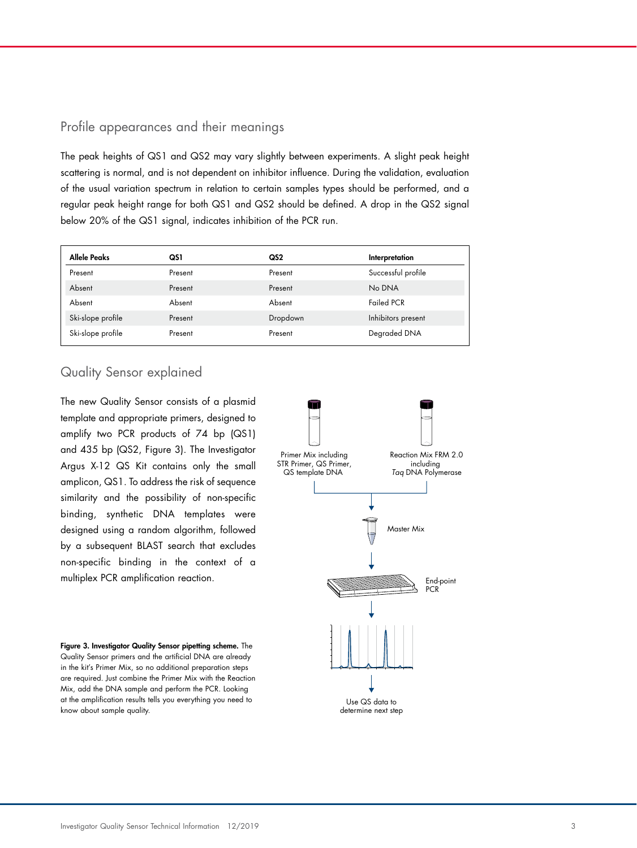#### Profile appearances and their meanings

The peak heights of QS1 and QS2 may vary slightly between experiments. A slight peak height scattering is normal, and is not dependent on inhibitor influence. During the validation, evaluation of the usual variation spectrum in relation to certain samples types should be performed, and a regular peak height range for both QS1 and QS2 should be defined. A drop in the QS2 signal below 20% of the QS1 signal, indicates inhibition of the PCR run.

| <b>Allele Peaks</b> | QS1     | QS2      | Interpretation     |
|---------------------|---------|----------|--------------------|
| Present             | Present | Present  | Successful profile |
| Absent              | Present | Present  | No DNA             |
| Absent              | Absent  | Absent   | <b>Failed PCR</b>  |
| Ski-slope profile   | Present | Dropdown | Inhibitors present |
| Ski-slope profile   | Present | Present  | Degraded DNA       |

## Quality Sensor explained

The new Quality Sensor consists of a plasmid template and appropriate primers, designed to amplify two PCR products of 74 bp (QS1) and 435 bp (QS2, Figure 3). The Investigator Argus X-12 QS Kit contains only the small amplicon, QS1. To address the risk of sequence similarity and the possibility of non-specific binding, synthetic DNA templates were designed using a random algorithm, followed by a subsequent BLAST search that excludes non-specific binding in the context of a multiplex PCR amplification reaction.

Figure 3. Investigator Quality Sensor pipetting scheme. The Quality Sensor primers and the artificial DNA are already in the kit's Primer Mix, so no additional preparation steps are required. Just combine the Primer Mix with the Reaction Mix, add the DNA sample and perform the PCR. Looking at the amplification results tells you everything you need to know about sample quality.



determine next step